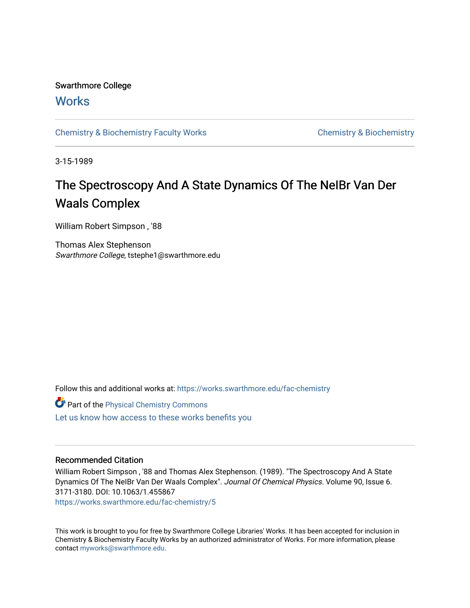# Swarthmore College

## **Works**

[Chemistry & Biochemistry Faculty Works](https://works.swarthmore.edu/fac-chemistry) Chemistry Chemistry & Biochemistry

3-15-1989

# The Spectroscopy And A State Dynamics Of The NeIBr Van Der Waals Complex

William Robert Simpson , '88

Thomas Alex Stephenson Swarthmore College, tstephe1@swarthmore.edu

Follow this and additional works at: [https://works.swarthmore.edu/fac-chemistry](https://works.swarthmore.edu/fac-chemistry?utm_source=works.swarthmore.edu%2Ffac-chemistry%2F5&utm_medium=PDF&utm_campaign=PDFCoverPages)

| Part of the Physical Chemistry Commons             |  |
|----------------------------------------------------|--|
| Let us know how access to these works benefits you |  |

## Recommended Citation

William Robert Simpson , '88 and Thomas Alex Stephenson. (1989). "The Spectroscopy And A State Dynamics Of The NeIBr Van Der Waals Complex". Journal Of Chemical Physics. Volume 90, Issue 6. 3171-3180. DOI: 10.1063/1.455867

<https://works.swarthmore.edu/fac-chemistry/5>

This work is brought to you for free by Swarthmore College Libraries' Works. It has been accepted for inclusion in Chemistry & Biochemistry Faculty Works by an authorized administrator of Works. For more information, please contact [myworks@swarthmore.edu](mailto:myworks@swarthmore.edu).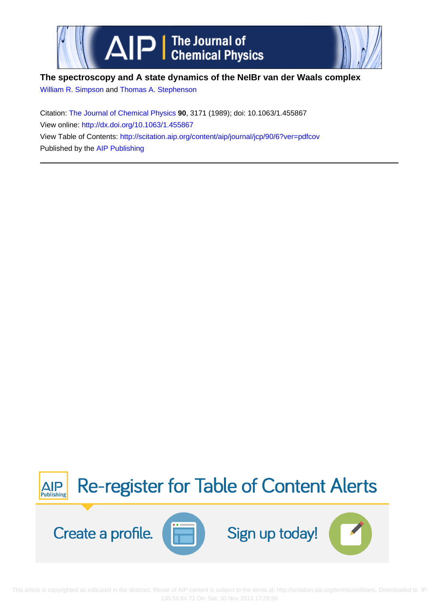

# **The spectroscopy and A state dynamics of the NeIBr van der Waals complex**

[William R. Simpson](http://scitation.aip.org/search?value1=William+R.+Simpson&option1=author) and [Thomas A. Stephenson](http://scitation.aip.org/search?value1=Thomas+A.+Stephenson&option1=author)

Citation: [The Journal of Chemical Physics](http://scitation.aip.org/content/aip/journal/jcp?ver=pdfcov) **90**, 3171 (1989); doi: 10.1063/1.455867 View online:<http://dx.doi.org/10.1063/1.455867> View Table of Contents: <http://scitation.aip.org/content/aip/journal/jcp/90/6?ver=pdfcov> Published by the [AIP Publishing](http://scitation.aip.org/content/aip?ver=pdfcov)



 This article is copyrighted as indicated in the abstract. Reuse of AIP content is subject to the terms at: http://scitation.aip.org/termsconditions. Downloaded to IP: 130.58.64.71 On: Sat, 30 Nov 2013 17:29:56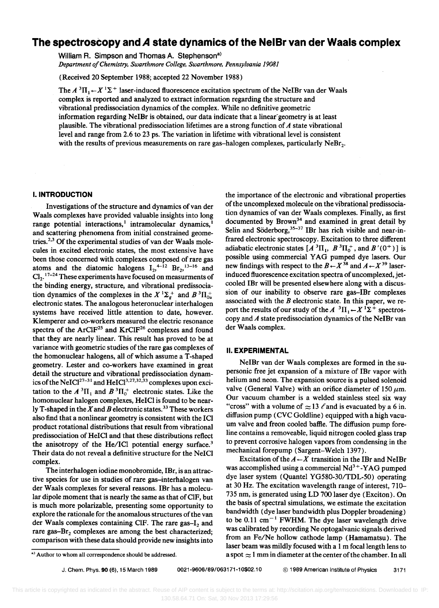## **The spectroscopy and** *A* **state dynamics of the NelBr van der Waals complex**

William R. Simpson and Thomas A. Stephenson<sup>a)</sup> Department of Chemistry, Swarthmore College, Swarthmore, Pennsylvania 19081

(Received 20 September 1988; accepted 22 November 1988)

The  $A^3\Pi_1 \leftarrow X^1\Sigma^+$  laser-induced fluorescence excitation spectrum of the NeIBr van der Waals complex is reported and analyzed to extract information regarding the structure and vibrational predissociation dynamics of the complex. While no definitive geometric information regarding NeIBr is obtained, our data indicate that a linear geometry is at least plausible. The vibrational predissociation lifetimes are a strong function of *A* state vibrational level and range from 2.6 to 23 ps. The variation in lifetime with vibrational level is consistent with the results of previous measurements on rare gas-halogen complexes, particularly  $NeBr<sub>2</sub>$ .

### I. **INTRODUCTION**

Investigations of the structure and dynamics of van der Waals complexes have provided valuable insights into long range potential interactions,<sup>1</sup> intramolecular dynamics,<sup>1</sup> and scattering phenomena from initial constrained geometries.<sup>2,3</sup> Of the experimental studies of van der Waals molecules in excited electronic states, the most extensive have been those concerned with complexes composed of rare gas atoms and the diatomic halogens  $I_2$ <sup>4-12</sup> Br<sub>2</sub>,<sup>13-16</sup> and Cl<sub>2</sub>. <sup>17-24</sup> These experiments have focused on measurments of the binding energy, structure, and vibrational predissociation dynamics of the complexes in the  $X^1\Sigma_g^+$  and  $B^3\Pi_{0u}^+$ electronic states. The analogous heteronuclear interhalogen systems have received little attention to date, however. Klemperer and co-workers measured the electric resonance spectra of the ArClF<sup>25</sup> and KrClF<sup>26</sup> complexes and found that they are nearly linear. This result has proved to be at variance with geometric studies of the rare gas complexes of the homonuclear halogens, all of which assume a T-shaped geometry. Lester and co-workers have examined in great detail the structure and vibrational predissociation dynamics of the NeICl<sup>27-31</sup> and HeICl<sup>3,27,32,33</sup> complexes upon excitation to the  $A^3\Pi_1$  and  $B^3\Pi_0^+$  electronic states. Like the homonuclear halogen complexes, HeICI is found to be nearly T-shaped in the  $X$  and  $B$  electronic states.<sup>33</sup> These workers also find that a nonlinear geometry is consistent with the ICI product rotational distributions that result from vibrational predissociation of HelCI and that these distributions reflect the anisotropy of the He/ICI potential energy surface.<sup>3</sup> Their data do not reveal a definitive structure for the NelCI complex.

The interhalogen iodine monobromide, IBr, is an attractive species for use in studies of rare gas-interhalogen van der Waals complexes for several reasons. IBr has a molecular dipole moment that is nearly the same as that of CIF, but is much more polarizable, presenting some opportunity to explore the rationale for the anomalous structures of the van der Waals complexes containing CIF. The rare gas $-I_2$  and rare gas- $Br<sub>2</sub>$  complexes are among the best characterized; comparison with these data should provide new insights into the importance of the electronic and vibrational properties of the uncomplexed molecule on the vibrational predissociation dynamics of van der Waals complexes. Finally, as first documented by Brown<sup>34</sup> and examined in great detail by Selin and Söderborg,<sup>35-37</sup> IBr has rich visible and near-infrared electronic spectroscopy. Excitation to three different adiabatic electronic states  $[A^3\Pi_1, B^3\Pi_0^+,$  and  $B'(0^+)]$  is possible using commercial Y AG pumped dye lasers. Our new findings with respect to the  $B \leftarrow X^{38}$  and  $A \leftarrow X^{39}$  laserinduced fluorescence excitation spectra of uncomplexed, jetcooled IBr will be presented elsewhere along with a discussion of our inability to observe rare gas-IBr complexes associated with the *B* electronic state. In this paper, we report the results of our study of the  $A^{-3}\Pi_1 \leftarrow X^1\Sigma^+$  spectroscopy and *A* state predissociation dynamics of the NeIBr van der Waals complex.

### II. **EXPERIMENTAL**

NelBr van der Waals complexes are formed in the supersonic free jet expansion of a mixture of IBr vapor with helium and neon. The expansion source is a pulsed solenoid valve (General Valve) with an orifice diameter of 150  $\mu$ m. Our vacuum chamber is a welded stainless steel six way "cross" with a volume of  $\approx$  13  $\ell$  and is evacuated by a 6 in. diffusion pump (CVC Goldline) equipped with a high vacuum valve and freon cooled baffle. The diffusion pump foreline contains a removeable, liquid nitrogen cooled glass trap to prevent corrosive halogen vapors from condensing in the mechanical forepump (Sargent-Welch 1397).

Excitation of the  $A \leftarrow X$  transition in the IBr and NeIBr was accomplished using a commercial  $Nd^{3+}$ -YAG pumped dye laser system (Quantel YG580-30/TDL-50) operating at 30 Hz. The excitation wavelength range of interest, 710- 735 nm, is generated using LD 700 laser dye (Exciton). On the basis of spectral simulations, we estimate the excitation bandwidth (dye laser bandwidth plus Doppler broadening) to be 0.11 cm<sup> $-1$ </sup> FWHM. The dye laser wavelength drive was calibrated by recording Ne optogalvanic signals derived from an Fe/Ne hollow cathode lamp (Hamamatsu). The laser beam was mildly focused with a 1 m focal length lens to a spot: $\approx$  1 mm in diameter at the center of the chamber. In all

a) Author to whom all correspondence should be addressed.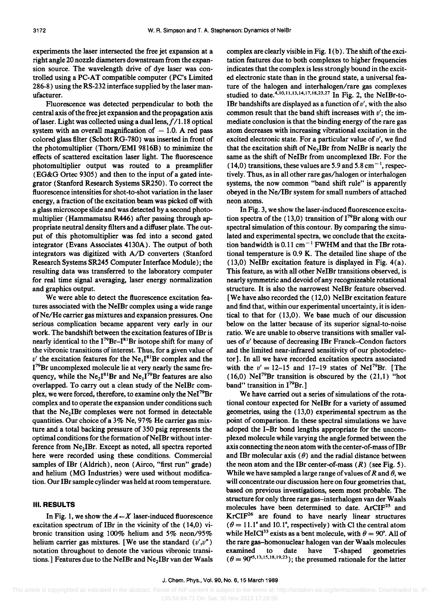experiments the laser intersected the free jet expansion at a right angle 20 nozzle diameters downstream from the expansion source. The wavelength drive of dye laser was controlled using a PC-AT compatible computer (PC's Limited 286-8) using the RS-232 interface supplied by the laser manufacturer.

Fluorescence was detected perpendicular to both the central axis of the free jet expansion and the propagation axis of laser. Light was collected using a dual lens,  $f/1.18$  optical system with an overall magnification of  $-1.0$ . A red pass colored glass filter (Schott RG-780) was inserted in front of the photomultiplier (Thorn/EMI 9816B) to minimize the effects of scattered excitation laser light. The fluorescence photomultiplier output was routed to a preamplifier (EG&G Ortec 9305) and then to the input of a gated integrator (Stanford Research Systems SR250). To correct the fluorescence intensities for shot-to-shot variation in the laser energy, a fraction of the excitation beam was picked off with a glass microscope slide and was detected by a second photomultiplier (Hammamatsu R446) after passing through appropriate neutral density filters and a diffuser plate. The output of this photomultiplier was fed into a second gated integrator (Evans Associates 4130A). The output of both integrators was digitized with A/D converters (Stanford Research Systems SR245 Computer Interface Module); the resulting data was transferred to the laboratory computer for real time signal averaging, laser energy normalization and graphics output.

We were able to detect the fluorescence excitation features associated with the NeIBr complex using a wide range of Ne/He carrier gas mixtures and expansion pressures. One serious complication became apparent very early in our work. The bandshift between the excitation features of IBr is nearly identical to the I<sup>79</sup>Br-I<sup>81</sup>Br isotope shift for many of the vibronic transitions of interest. Thus, for a given value of  $v'$  the excitation features for the  $Ne<sub>1</sub>I<sup>81</sup>Br$  complex and the I<sup>79</sup>Br uncomplexed molecule lie at very nearly the same frequency, while the  $Ne_2I^{81}Br$  and  $Ne_1I^{79}Br$  features are also overlapped. To carry out a clean study of the NeIBr complex, we were forced, therefore, to examine only the NeI79Br complex and to operate the expansion under conditions such that the  $Ne<sub>2</sub>IBr$  complexes were not formed in detectable quantities. Our choice of a 3% Ne, 97% He carrier gas mixture and a total backing pressure of 350 psig represents the optimal conditions for the formation of NeIBr without interference from Ne<sub>2</sub>IBr. Except as noted, all spectra reported here were recorded using these conditions. Commercial samples of IBr (Aldrich), neon (Airco, "first run" grade) and helium (MG Industries) were used without modification. Our IBr sample cylinder was held at room temperature.

#### III. RESULTS

In Fig. 1, we show the  $A \leftarrow X$  laser-induced fluorescence excitation spectrum of IBr in the vicinity of the (14,0) vibronie transition using 100% helium and 5% neon/95% helium carrier gas mixtures. [We use the standard  $(v',v'')$ notation throughout to denote the various vibronic transitions.] Features due to the NeIBr and  $Ne<sub>2</sub>IBr$  van der Waals complex are clearly visible in Fig.  $1(b)$ . The shift of the excitation features due to both complexes to higher frequencies indicates that the complex is less strongly bound in the excited electronic state than in the ground state, a universal feature of the halogen and interhalogen/rare gas complexes studied to date.<sup>4,10,11,13,14,17,18,23,27</sup> In Fig. 2, the NeIBr-to-IBr bandshifts are displayed as a function of  $v'$ , with the also common result that the band shift increases with *v';* the immediate conclusion is that the binding energy of the rare gas atom decreases with increasing vibrational excitation in the excited electronic state. For a particular value of *v',* we find that the excitation shift of  $Ne<sub>2</sub>IBr$  from NeIBr is nearly the same as the shift of NeIBr from uncomplexed IBr. For the  $(14,0)$  transitions, these values are 5.9 and 5.8 cm<sup>-1</sup>, respectively. Thus, as in all other rare gas/halogen or interhalogen systems, the now common "band shift rule" is apparently obeyed in the Ne/IBr system for small numbers of attached neon atoms.

In Fig. 3, we show the laser-induced fluorescence excitation spectra of the (13,0) transition of  $I^{79}Br$  along with our spectral simulation of this contour. By comparing the simulated and experimental spectra, we conclude that the excitation bandwidth is  $0.11 \text{ cm}^{-1}$  FWHM and that the IBr rotational temperature is 0.9 K. The detailed line shape of the (13,0) NeIBr excitation feature is displayed in Fig. 4(a). This feature, as with all other NeIBr transitions observed, is nearly symmetric and devoid of any recognizeable rotational structure. It is also the narrowest NeIBr feature observed. [We have also recorded the (12,0) NeIBr excitation feature and find that, within our experimental uncertainty, it is identical to that for (13,0). We base much of our discussion below on the latter because of its superior signal-to-noise ratio. We are unable to observe transitions with smaller values of *v'* because of decreasing IBr Franck-Condon factors and the limited near-infrared sensitivity of our photodetector]. In all we have recorded excitation spectra associated with the  $v' = 12-15$  and 17-19 states of NeI<sup>79</sup>Br. [The (16,0) NeI<sup>79</sup>Br transition is obscured by the  $(21,1)$  "hot band" transition in  $I^{79}Br.$ ]

We have carried out a series of simulations of the rotational contour expected for NeIBr for a variety of assumed geometries, using the (13,0) experimental spectrum as the point of comparison. In these spectral simulations we have adoped the I-Br bond lengths appropriate for the uncomplexed molecule while varying the angle formed between the axis connecting the neon atom with the center-of-mass ofIBr and IBr molecular axis  $(\theta)$  and the radial distance between the neon atom and the IBr center-of-mass  $(R)$  (see Fig. 5). While we have sampled a large range of values of R and  $\theta$ , we will concentrate our discussion here on four geometries that, based on previous investigations, seem most probable. The structure for only three rare gas-interhalogen van der Waals molecules have been determined to date. ArCIF<sup>25</sup> and KrCIF26 are found to have nearly linear structures  $(\theta = 11.1^{\circ}$  and 10.1°, respectively) with Cl the central atom while HeICl<sup>33</sup> exists as a bent molecule, with  $\theta = 90^{\circ}$ . All of the rare gas-homonuclear halogen van der Waals molecules examined to date have T-shaped geometries  $(\theta = 90^{\circ 5, 13, 15, 18, 19, 23})$ ; the presumed rationale for the latter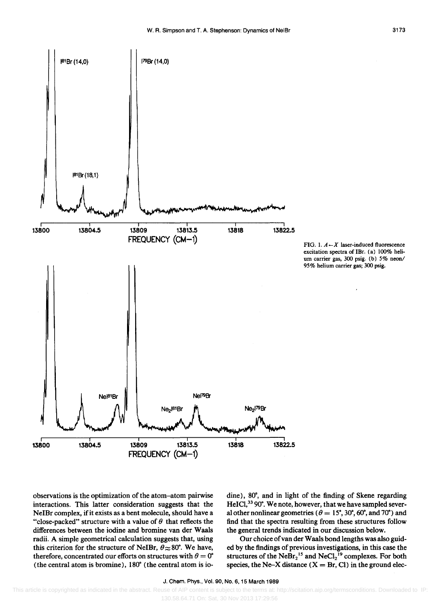



observations is the optimization of the atom-atom pairwise interactions. This latter consideration suggests that the NeIBr complex, if it exists as a bent molecule, should have a "close-packed" structure with a value of  $\theta$  that reflects the differences between the iodine and bromine van der Waals radii. A simple geometrical calculation suggests that, using this criterion for the structure of NeIBr,  $\theta \approx 80^{\circ}$ . We have, therefore, concentrated our efforts on structures with  $\theta = 0^\circ$ (the central atom is bromine), 180· (the central atom is iodine), 80°, and in light of the finding of Skene regarding HeICl,<sup>33</sup> 90°. We note, however, that we have sampled several other nonlinear geometries ( $\theta = 15^{\circ}, 30^{\circ}, 60^{\circ},$  and 70°) and find that the spectra resulting from these structures follow the general trends indicated in our discussion below.

Our choice of van der Waals bond lengths was also guided by the findings of previous investigations, in this case the structures of the  $N eBr_2^{15}$  and  $N eCl_2^{19}$  complexes. For both species, the Ne-X distance  $(X = Br, Cl)$  in the ground elec-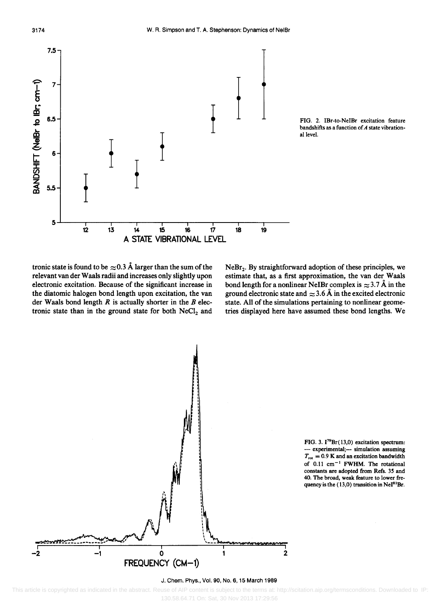



tronic state is found to be  $\approx 0.3$  Å larger than the sum of the relevant van der Waals radii and increases only slightly upon electronic excitation. Because of the significant increase in the diatomic halogen bond length upon excitation, the van der Waals bond length *R* is actually shorter in the *B* electronic state than in the ground state for both  $NeCl<sub>2</sub>$  and

 $NeBr<sub>2</sub>$ . By straightforward adoption of these principles, we estimate that, as a first approximation, the van der Waals bond length for a nonlinear NeIBr complex is  $\approx 3.7 \text{ Å}$  in the ground electronic state and  $\approx$  3.6 Å in the excited electronic state. All of the simulations pertaining to nonlinear geometries displayed here have assumed these bond lengths. We



FIG. 3. I<sup>79</sup>Br(13,0) excitation spectrum: experimental;--- simulation assuming  $T_{\text{rot}} = 0.9$  K and an excitation bandwidth of  $0.11 \text{ cm}^{-1}$  FWHM. The rotational constants are adopted from Refs. 35 and 40. The broad, weak feature to lower frequency is the (13,0) transition in  $\text{NeI}^{81}\text{Br}$ .

#### J. Chern. Phys., Vol. 90, No.6, 15 March 1989

 This article is copyrighted as indicated in the abstract. Reuse of AIP content is subject to the terms at: http://scitation.aip.org/termsconditions. Downloaded to IP: 130.58.64.71 On: Sat, 30 Nov 2013 17:29:56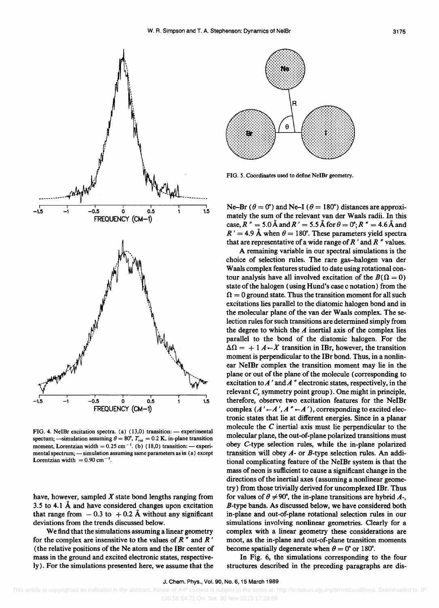

FIG. 4. NeIBr excitation spectra. (a) (13,0) transition: - experimental spectum; ---simulation assuming  $\theta = 80^\circ$ ,  $T_{\text{rot}} = 0.2 \text{ K}$ , in-plane transition moment, Lorentzian width  $= 0.25$  cm<sup>-1</sup>. (b) (18,0) transition: - experimental spectrum; ---simulation assuming same parameters as in (a) except Lorentzian width  $= 0.90$  cm<sup>-1</sup>.

have, however, sampled *X* state bond lengths ranging from 3.5 to 4.1 A and have considered changes upon excitation that range from  $-0.3$  to  $+0.2$  Å without any significant deviations from the trends discussed below.

We find that the simulations assuming a linear geometry for the complex are insensitive to the values of  $R$   $\prime$  and  $R$   $\prime$ (the relative positions of the Ne atom and the IBr center of mass in the ground and excited electronic states, respectively). For the simulations presented here, we assume that the



FIG. 5. Coordinates used to define NeIBr geometry .

Ne–Br ( $\theta = 0^\circ$ ) and Ne–I ( $\theta = 180^\circ$ ) distances are approximately the sum of the relevant van der Waals radii. In this case,  $R'' = 5.0 \text{ Å}$  and  $R' = 5.5 \text{ Å}$  for  $\theta = 0^{\circ}$ ;  $R'' = 4.6 \text{ Å}$  and  $R' = 4.9$  Å when  $\theta = 180^{\circ}$ . These parameters yield spectra that are representative of a wide range of *R* ' and *R* " values.

A remaining variable in our spectral simulations is the choice of selection rules. The rare gas-halogen van der Waals complex features studied to date using rotational contour analysis have all involved excitation of the  $B(\Omega = 0)$ state of the halogen (using Hund's case c notation) from the  $\Omega = 0$  ground state. Thus the transition moment for all such excitations lies parallel to the diatomic halogen bond and in the molecular plane of the van der Waals complex. The selection rules for such transitions are determined simply from the degree to which the *A* inertial axis of the complex lies parallel to the bond of the diatomic halogen. For the  $\Delta \Omega = + 1 A \leftarrow X$  transition in IBr, however, the transition moment is perpendicular to the IBr bond. Thus, in a nonlinear NeIBr complex the transition moment may lie in the plane or out of the plane of the molecule (corresponding to excitation *toA* ' and *A* " electronic states, respectively, in the relevant  $C_s$  symmetry point group). One might in principle, therefore, observe two excitation features for the NeIBr complex  $(A' \leftarrow A', A'' \leftarrow A')$ , corresponding to excited electronic states that lie at different energies. Since in a planar molecule the C inertial axis must lie perpendicular to the molecular plane, the out-of-plane polarized transitions must obey C-type selection rules, while the in-plane polarized transition will obey  $A$ - or  $B$ -type selection rules. An additional complicating feature of the NeIBr system is that the mass of neon is sufficient to cause a significant change in the directions of the inertial axes (assuming a nonlinear geometry) from those trivially derived for uncomplexed IBr. Thus for values of  $\theta \neq 90^\circ$ , the in-plane transitions are hybrid A-, B-type bands. As discussed below, we have considered both in-plane and out-of-plane rotational selection rules in our simulations involving nonlinear geometries. Clearly for a complex with a linear geometry these considerations are moot, as the in-plane and out-of-plane transition moments become spatially degenerate when  $\theta = 0^{\circ}$  or 180°.

In Fig. 6, the simulations corresponding to the four structures described in the preceding paragraphs are dis-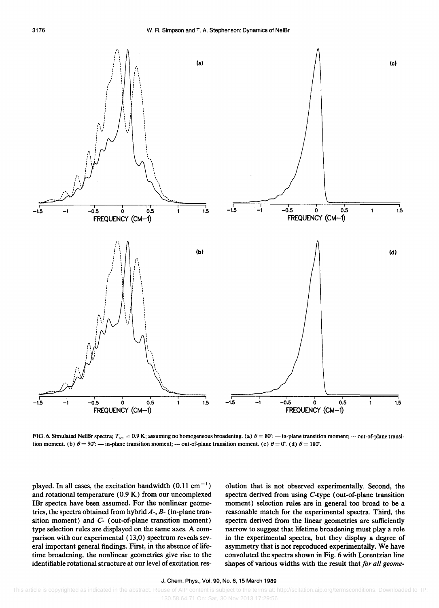

FIG. 6. Simulated NeIBr spectra;  $T_{\text{rot}} = 0.9$  K; assuming no homogeneous broadening. (a)  $\theta = 80^\circ$ : - in-plane transition moment; --- out-of-plane transition moment. (b)  $\theta = 90^\circ$ : --- in-plane transition moment; --- out-of-plane transition moment. (c)  $\theta = 0^\circ$ . (d)  $\theta = 180^\circ$ .

played. In all cases, the excitation bandwidth  $(0.11 \text{ cm}^{-1})$ and rotational temperature (0.9 K) from our uncomplexed IBr spectra have been assumed. For the nonlinear geometries, the spectra obtained from hybrid  $A$ -,  $B$ - (in-plane transition moment) and C- (out-of-plane transition moment) type selection rules are displayed on the same axes. A comparison with our experimental (13,0) spectrum reveals several important general findings. First, in the absence of lifetime broadening, the nonlinear geometries give rise to the identifiable rotational structure at our level of excitation res-

olution that is not observed experimentally. Second, the spectra derived from using C-type (out-of-plane transition moment) selection rules are in general too broad to be a reasonable match for the experimental spectra. Third, the spectra derived from the linear geometries are sufficiently narrow to suggest that lifetime broadening must playa role in the experimental spectra, but they display a degree of asymmetry that is not reproduced experimentally. We have convoluted the spectra shown in Fig. 6 with Lorentzian line shapes of various widths with the result that *for all geome-*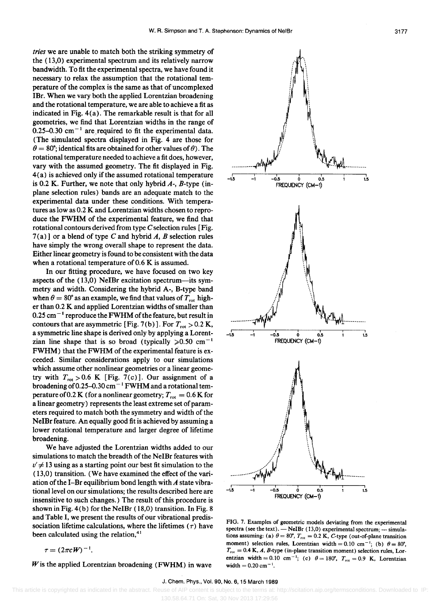*tries* we are unable to match both the striking symmetry of the (13,0) experimental spectrum and its relatively narrow bandwidth. To fit the experimental spectra, we have found it necessary to relax the assumption that the rotational temperature of the complex is the same as that of uncomplexed IBr. When we vary both the applied Lorentzian broadening and the rotational temperature, we are able to achieve a fit as indicated in Fig. 4 (a). The remarkable result is that for all geometries, we find that Lorentzian widths in the range of 0.25-0.30 cm<sup> $-1$ </sup> are required to fit the experimental data. (The simulated spectra displayed in Fig. 4 are those for  $\theta = 80^\circ$ ; identical fits are obtained for other values of  $\theta$ ). The rotational temperature needed to achieve a fit does, however, vary with the assumed geometry. The fit displayed in Fig.  $4(a)$  is achieved only if the assumed rotational temperature is 0.2 K. Further, we note that only hybrid  $A$ -,  $B$ -type (inplane selection rules) bands are an adequate match to the experimental data under these conditions. With temperatures as low as 0.2 K and Lorentzian widths chosen to reproduce the FWHM of the experimental feature, we find that rotational contours derived from type  $C$  selection rules [Fig. 7 (a)] or a blend of type C and hybrid *A, B* selection rules have simply the wrong overall shape to represent the data. Either linear geometry is found to be consistent with the data when a rotational temperature of 0.6 K is assumed.

In our fitting procedure, we have focused on two key aspects of the (13,0) NeIBr excitation spectrum-its symmetry and width. Considering the hybrid A-, B-type band when  $\theta = 80^\circ$  as an example, we find that values of  $T_{\text{rot}}$  higher than 0.2 K and applied Lorentzian widths of smaller than  $0.25$  cm<sup> $-1$ </sup> reproduce the FWHM of the feature, but result in contours that are asymmetric [Fig. 7(b)]. For  $T_{\text{rot}} > 0.2 \text{ K}$ , a symmetric line shape is derived only by applying a Lorentzian line shape that is so broad (typically  $>0.50$  cm<sup>-1</sup> FWHM) that the FWHM of the experimental feature is exceeded. Similar considerations apply to our simulations which assume other nonlinear geometries or a linear geometry with  $T_{\text{rot}} > 0.6$  K [Fig. 7(c)]. Our assignment of a broadening of 0.25-0.30 cm<sup>-1</sup> FWHM and a rotational temperature of 0.2 K (for a nonlinear geometry;  $T_{\text{rot}} = 0.6$  K for a linear geometry) represents the least extreme set of parameters required to match both the symmetry and width of the NeIBr feature. An equally good fit is achieved by assuming a lower rotational temperature and larger degree of lifetime broadening.

We have adjusted the Lorentzian widths added to our simulations to match the breadth of the NeIBr features with  $v' \neq 13$  using as a starting point our best fit simulation to the (13,0) transition. (We have examined the effect of the variation of the I-Br equilibrium bond length with *A* state vibrational level on our simulations; the results described here are insensitive to such changes.) The result of this procedure is shown in Fig. 4(b) for the NeIBr (18,0) transition. In Fig. 8 and Table I, we present the results of our vibrational predissociation lifetime calculations, where the lifetimes  $(7)$  have been calculated using the relation, $41$ 

 $\tau = (2\pi cW)^{-1}$ .

*Wis* the applied Lorentzian broadening (FWHM) in wave



FIG. 7. Examples of geometric models deviating from the experimental spectra (see the text). - NeIBr (13,0) experimental spectrum; --- simulations assuming: (a)  $\theta = 80^{\circ}$ ,  $T_{\text{rot}} = 0.2$  K, C-type (out-of-plane transition moment) selection rules, Lorentzian width =  $0.10 \text{ cm}^{-1}$ ; (b)  $\theta = 80^{\circ}$ ,  $T_{\text{rot}} = 0.4$  K, *A*, *B*-type (in-plane transition moment) selection rules, Lorentzian width = 0.10 cm<sup>-1</sup>; (c)  $\theta = 180^{\circ}$ ,  $T_{rot} = 0.9$  K, Lorentzian width =  $0.20 \text{ cm}^{-1}$ .

#### J. Chem. Phys., Vol. 90, No.6, 15 March 1989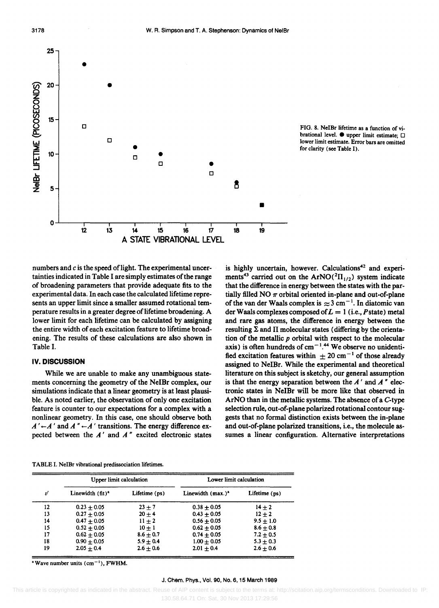



numbers and *c* is the speed of light. The experimental uncertainties indicated in Table I are simply estimates of the range of broadening parameters that provide adequate fits to the experimental data. In each case the calculated lifetime represents an upper limit since a smaller assumed rotational temperature results in a greater degree of lifetime broadening. A lower limit for each lifetime can be calculated by assigning the entire width of each excitation feature to lifetime broadening. The results of these calculations are also shown in Table I.

### IV. **DISCUSSION**

While we are unable to make any unambiguous statements concerning the geometry of the NelBr complex, our simulations indicate that a linear geometry is at least plausible. As noted earlier, the observation of only one excitation feature is counter to our expectations for a complex with a nonlinear geometry. In this case, one should observe both  $A' \leftarrow A'$  and  $A'' \leftarrow A'$  transitions. The energy difference expected between the *A'* and *A*<sup>*n*</sup> excited electronic states

is highly uncertain, however. Calculations<sup>42</sup> and experiments<sup>43</sup> carried out on the ArNO( ${}^{2}$  $\Pi_{1/2}$ ) system indicate that the difference in energy between the states with the partially filled NO  $\pi$  orbital oriented in-plane and out-of-plane of the van der Waals complex is  $\approx 3$  cm<sup>-1</sup>. In diatomic van der Waals complexes composed of  $L = 1$  (i.e., Pstate) metal and rare gas atoms, the difference in energy between the resulting  $\Sigma$  and  $\Pi$  molecular states (differing by the orientation of the metallic *p* orbital with respect to the molecular axis) is often hundreds of  $cm^{-1.44}$  We observe no unidentified excitation features within  $\pm 20$  cm<sup>-1</sup> of those already assigned to NeIBr. While the experimental and theoretical literature on this subject is sketchy, our general assumption is that the energy separation between the  $A'$  and  $A''$  electronic states in NelBr will be more like that observed in ArNO than in the metallic systems. The absence of a C-type selection rule, out-of-plane polarized rotational contour suggests that no formal distinction exists between the in-plane and out-of-plane polarized transitions, i.e., the molecule assumes a linear configuration. Alternative interpretations

TABLE I. NeIBr vibrational predissociation lifetimes.

| v' | Upper limit calculation      |               | Lower limit calculation |               |
|----|------------------------------|---------------|-------------------------|---------------|
|    | Linewidth (fit) <sup>a</sup> | Lifetime (ps) | Linewidth $(max.)a$     | Lifetime (ps) |
| 12 | $0.23 + 0.05$                | $23 + 7$      | $0.38 + 0.05$           | $14 + 2$      |
| 13 | $0.27 + 0.05$                | $20 + 4$      | $0.43 + 0.05$           | $12 + 2$      |
| 14 | $0.47 + 0.05$                | $11 + 2$      | $0.56 + 0.05$           | $9.5 + 1.0$   |
| 15 | $0.52 + 0.05$                | $10 + 1$      | $0.62 + 0.05$           | $8.6 + 0.8$   |
| 17 | $0.62 + 0.05$                | $8.6 + 0.7$   | $0.74 + 0.05$           | $7.2 + 0.5$   |
| 18 | $0.90 + 0.05$                | $5.9 + 0.4$   | $1.00 + 0.05$           | $5.3 + 0.3$   |
| 19 | $2.05 + 0.4$                 | $2.6 + 0.6$   | $2.01 + 0.4$            | $2.6 + 0.6$   |

"Wave number units  $(cm<sup>-1</sup>)$ , FWHM.

#### J. Chem. Phys., Vol. 90, No.6, 15 March 1989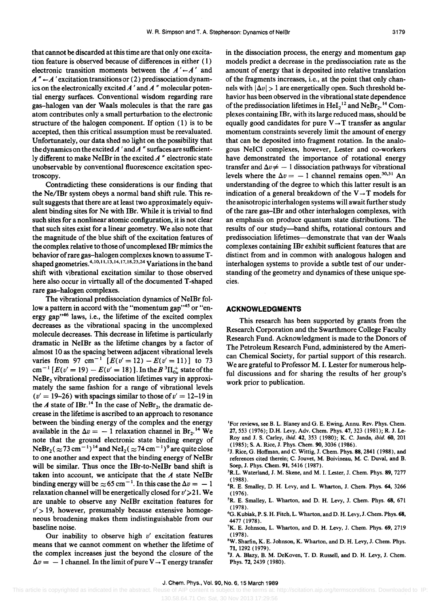that cannot be discarded at this time are that only one excitation feature is observed because of differences in either (1) electronic transition moments between the  $A' \leftarrow A'$  and  $A'' \leftarrow A'$  excitation transitions or (2) predissociation dynamics on the electronically excited *A'* and *A*<sup>"</sup> molecular potential energy surfaces. Conventional wisdom regarding rare gas-halogen van der Waals molecules is that the rare gas atom contributes only a small perturbation to the electronic structure of the halogen component. If option (1) is to be accepted, then this critical assumption must be reevaluated. Unfortunately, our data shed no light on the possibility that the dynamics on the excited *A*' and *A*" surfaces are sufficiently different to make NeIBr in the excited *A* " electronic state unobservable by conventional fluorescence excitation spectroscopy.

Contradicting these considerations is our finding that the *Ne/IBr* system obeys a normal band shift rule. This result suggests that there are at least two approximately equivalent binding sites for Ne with IBr. While it is trivial to find such sites for a nonlinear atomic configuration, it is not clear that such sites exist for a linear geometry. We also note that the magnitude of the blue shift of the excitation features of the complex relative to those of uncomplexed IBr mimics the behavior of rare gas-halogen complexes known to assume Tshaped geometries.<sup>4,10,11,13,14,17,18,23,24</sup> Variations in the band shift with vibrational excitation similar to those observed here also occur in virtually all of the documented T-shaped rare gas-halogen complexes,

The vibrational predissociation dynamics of NeIBr follow a pattern in accord with the "momentum gap"<sup>45</sup> or "energy gap"<sup>46</sup> laws, i.e., the lifetime of the excited complex decreases as the vibrational spacing in the uncomplexed molecule decreases, This decrease in lifetime is particularly dramatic in NeIBr as the lifetime changes by a factor of almost 10 as the spacing between adjacent vibrational levels varies from 97 cm<sup>-1</sup> [ $E(v' = 12) - E(v' = 11)$ ] to 73 cm<sup>-1</sup> [ $E(v' = 19) - E(v' = 18)$ ]. In the  $B^3\Pi_{0u}^+$  state of the NeBr<sub>2</sub> vibrational predissociation lifetimes vary in approximately the same fashion for a range of vibrational levels  $(v' = 19-26)$  with spacings similar to those of  $v' = 12-19$  in the *A* state of IBr.<sup>14</sup> In the case of NeBr<sub>2</sub>, the dramatic decrease in the lifetime is ascribed to an approach to resonance between the binding energy of the complex and the energy available in the  $\Delta v = -1$  relaxation channel in Br<sub>2</sub>.<sup>14</sup> We note that the ground electronic state binding energy of  $N \cdot Br_2 (\approx 73 \text{ cm}^{-1})^{14}$  and  $N \cdot Fl_2 (\approx 74 \text{ cm}^{-1})^9$  are quite close to one another and expect that the binding energy of NeIBr will be similar. Thus once the IBr-to-NeIBr band shift is taken into account, we anticipate that the *A* state NeIBr binding energy will be  $\approx 65$  cm<sup>-1</sup>. In this case the  $\Delta v = -1$ relaxation channel will be energetically closed for  $v' \ge 21$ . We are unable to observe any NeIBr excitation features for  $v'$  > 19, however, presumably because extensive homogeneous broadening makes them indistinguishable from our baseline noise.

Our inability to observe high *v'* excitation features means that we cannot comment on whether the lifetime of the complex increases just the beyond the closure of the  $\Delta v = -1$  channel. In the limit of pure  $V \rightarrow T$  energy transfer in the dissociation process, the energy and momentum gap models predict a decrease in the predissociation rate as the amount of energy that is deposited into relative translation of the fragments increases, i.e., at the point that only channels with  $|\Delta v| > 1$  are energetically open. Such threshold behavior has been observed in the vibrational state dependence of the predissociation lifetimes in  $\text{HeI}_2^{12}$  and  $\text{NeBr}_2^{14}$  Complexes containing IBr, with its large reduced mass, should be equally good candidates for pure  $V \rightarrow T$  transfer as angular momentum constraints severely limit the amount of energy that can be deposited into fragment rotation. In the analogous NeICI complexes, however, Lester and co-workers have demonstrated the importance of rotational energy transfer and  $\Delta v \neq -1$  dissociation pathways for vibrational levels where the  $\Delta v = -1$  channel remains open.<sup>30,31</sup> An understanding of the degree to which this latter result is an indication of a general breakdown of the  $V \rightarrow T$  models for the anisotropic interhalogen systems will await further study of the rare gas-IBr and other interhalogen complexes, with an emphasis on produce quantum state distributions. The results of our study-band shifts, rotational contours and predissociation lifetimes-demonstrate that van der Waals complexes containing IBr exhibit sufficient features that are distinct from and in common with analogous halogen and interhalogen systems to provide a subtle test of our understanding of the geometry and dynamics of these unique species.

### **ACKNOWLEDGMENTS**

This research has been supported by grants from the Research Corporation and the Swarthmore College Faculty Research Fund. Acknowledgment is made to the Donors of The Petroleum Research Fund, administered by the American Chemical Society, for partial support of this research. We are grateful to Professor M. 1. Lester for numerous helpful discussions and for sharing the results of her group's work prior to publication.

- <sup>3</sup>R.L. Waterland, J. M. Skene, and M. I. Lester, J. Chem. Phys. 89, 7277 (1988).
- 4R. E. Smalley, D. H. Levy, and L. Wharton, J. Chern. Phys. 64, 3266 (1976).
- SR. E. Smalley, L. Wharton, and D. H. Levy, J. Chern. Phys. 68, 671 (1978).
- <sup>6</sup>G. Kubiak, P. S. H. Fitch, L. Wharton, and D. H. Levy, J. Chem. Phys. 68, 4477 (1978).
- <sup>7</sup>K. E. Johnson, L. Wharton, and D. H. Levy, J. Chem. Phys. 69, 2719 (1978).
- <sup>8</sup>W. Sharfin, K. E. Johnson, K. Wharton, and D. H. Levy, J. Chem. Phys. 71,1292 (1979).
- <sup>9</sup>J. A. Blazy, B. M. DeKoven, T. D. Russell, and D. H. Levy, J. Chem. Phys. 72, 2439 (1980).

<sup>&#</sup>x27;For reviews, see B. L. Blaney and O. E. Ewing, Annu. Rev. Phys. Chern. 27,553 (1976); D.H. Levy, Adv. Chern. Phys. 47, 323 (1981); R. J. Le~ Roy and J. S. carley, *ibid.* 42, 353 (1980); K. C. Janda, *ibid.* 60, 201 (1985); S. A. Rice, J. Phys. Chern. 90, 3036 (1986).

<sup>2</sup>J. Rice, O. Hoffman, and C. Wittig, J. Chern. Phys. 88, 2841 (1988), and references cited therein; C. Jouvet, M. Boivineau, M. C. Duval, and B. Soep, J. Phys. Chern. 91, 5416 (1987).